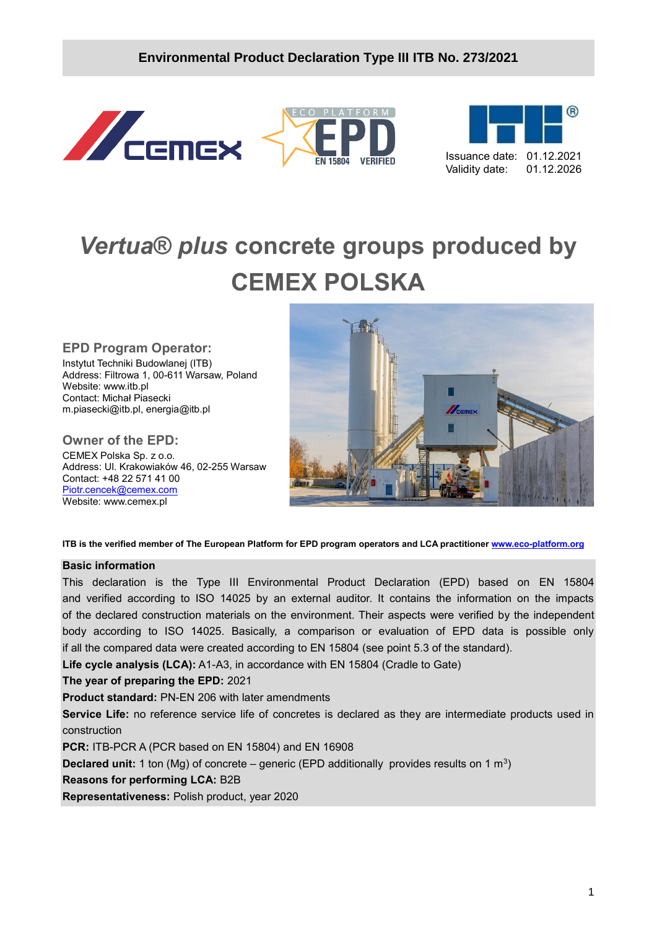





# *Vertua***®** *plus* **concrete groups produced by CEMEX POLSKA**

### **EPD Program Operator:**

Instytut Techniki Budowlanej (ITB) Address: Filtrowa 1, 00-611 Warsaw, Poland Website: www.itb.pl Contact: Michał Piasecki m.piasecki@itb.pl, energia@itb.pl

# **Owner of the EPD:**

CEMEX Polska Sp. z o.o. Address: Ul. Krakowiaków 46, 02-255 Warsaw Contact: +48 22 571 41 00 [Piotr.cencek@cemex.com](mailto:Piotr.cencek@cemex.com) Website: www.cemex.pl



**ITB is the verified member of The European Platform for EPD program operators and LCA practitioner [www.eco-platform.org](http://www.eco-platform.org/)**

#### **Basic information**

This declaration is the Type III Environmental Product Declaration (EPD) based on EN 15804 and verified according to ISO 14025 by an external auditor. It contains the information on the impacts of the declared construction materials on the environment. Their aspects were verified by the independent body according to ISO 14025. Basically, a comparison or evaluation of EPD data is possible only if all the compared data were created according to EN 15804 (see point 5.3 of the standard).

**Life cycle analysis (LCA):** A1-A3, in accordance with EN 15804 (Cradle to Gate)

### **The year of preparing the EPD:** 2021

**Product standard:** PN-EN 206 with later amendments

**Service Life:** no reference service life of concretes is declared as they are intermediate products used in construction

**PCR:** ITB-PCR A (PCR based on EN 15804) and EN 16908

**Declared unit:** 1 ton (Mg) of concrete – generic (EPD additionally provides results on 1 m<sup>3</sup>)

#### **Reasons for performing LCA:** B2B

**Representativeness:** Polish product, year 2020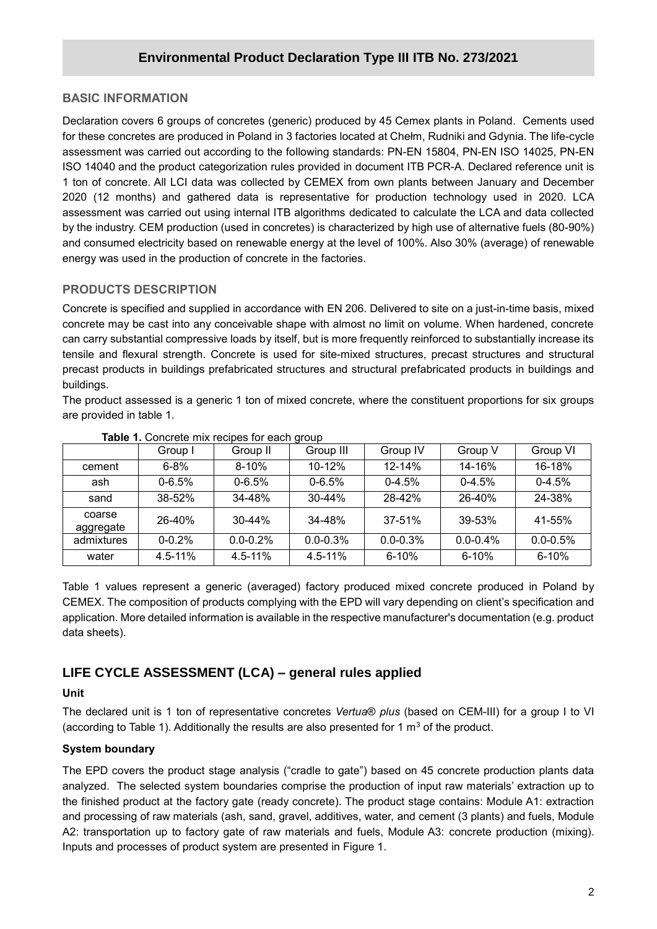### **BASIC INFORMATION**

**/2020** for these concretes are produced in Poland in 3 factories located at Chełm, Rudniki and Gdynia. The life-cycle Declaration covers 6 groups of concretes (generic) produced by 45 Cemex plants in Poland. Cements used assessment was carried out according to the following standards: PN-EN 15804, PN-EN ISO 14025, PN-EN ISO 14040 and the product categorization rules provided in document ITB PCR-A. Declared reference unit is 1 ton of concrete. All LCI data was collected by CEMEX from own plants between January and December 2020 (12 months) and gathered data is representative for production technology used in 2020. LCA assessment was carried out using internal ITB algorithms dedicated to calculate the LCA and data collected by the industry. CEM production (used in concretes) is characterized by high use of alternative fuels (80-90%) and consumed electricity based on renewable energy at the level of 100%. Also 30% (average) of renewable energy was used in the production of concrete in the factories.

### **PRODUCTS DESCRIPTION**

Concrete is specified and supplied in accordance with EN 206. Delivered to site on a just-in-time basis, mixed concrete may be cast into any conceivable shape with almost no limit on volume. When hardened, concrete can carry substantial compressive loads by itself, but is more frequently reinforced to substantially increase its tensile and flexural strength. Concrete is used for site-mixed structures, precast structures and structural precast products in buildings prefabricated structures and structural prefabricated products in buildings and buildings.

The product assessed is a generic 1 ton of mixed concrete, where the constituent proportions for six groups are provided in table 1.

|                     | Group I     | Group II      | Group III     | Group IV     | Group V       | Group VI      |
|---------------------|-------------|---------------|---------------|--------------|---------------|---------------|
| cement              | $6 - 8%$    | $8 - 10%$     | $10 - 12%$    | $12 - 14%$   | 14-16%        | 16-18%        |
| ash                 | $0 - 6.5%$  | $0 - 6.5%$    | $0 - 6.5%$    | $0-4.5%$     | $0 - 4.5%$    | $0-4.5%$      |
| sand                | 38-52%      | 34-48%        | $30 - 44%$    | 28-42%       | 26-40%        | 24-38%        |
| coarse<br>aggregate | 26-40%      | $30 - 44%$    | 34-48%        | $37 - 51%$   | 39-53%        | 41-55%        |
| admixtures          | $0 - 0.2%$  | $0.0 - 0.2\%$ | $0.0 - 0.3\%$ | $0.0 - 0.3%$ | $0.0 - 0.4\%$ | $0.0 - 0.5\%$ |
| water               | $4.5 - 11%$ | $4.5 - 11\%$  | $4.5 - 11\%$  | $6 - 10%$    | $6 - 10%$     | $6 - 10%$     |

**Table 1.** Concrete mix recipes for each group

Table 1 values represent a generic (averaged) factory produced mixed concrete produced in Poland by CEMEX. The composition of products complying with the EPD will vary depending on client's specification and application. More detailed information is available in the respective manufacturer's documentation (e.g. product data sheets).

### **LIFE CYCLE ASSESSMENT (LCA) – general rules applied**

### **Unit**

The declared unit is 1 ton of representative concretes *Vertua*® *plus* (based on CEM-III) for a group I to VI (according to Table 1). Additionally the results are also presented for 1  $\text{m}^3$  of the product.

### **System boundary**

The EPD covers the product stage analysis ("cradle to gate") based on 45 concrete production plants data analyzed. The selected system boundaries comprise the production of input raw materials' extraction up to the finished product at the factory gate (ready concrete). The product stage contains: Module A1: extraction and processing of raw materials (ash, sand, gravel, additives, water, and cement (3 plants) and fuels, Module A2: transportation up to factory gate of raw materials and fuels, Module A3: concrete production (mixing). Inputs and processes of product system are presented in Figure 1.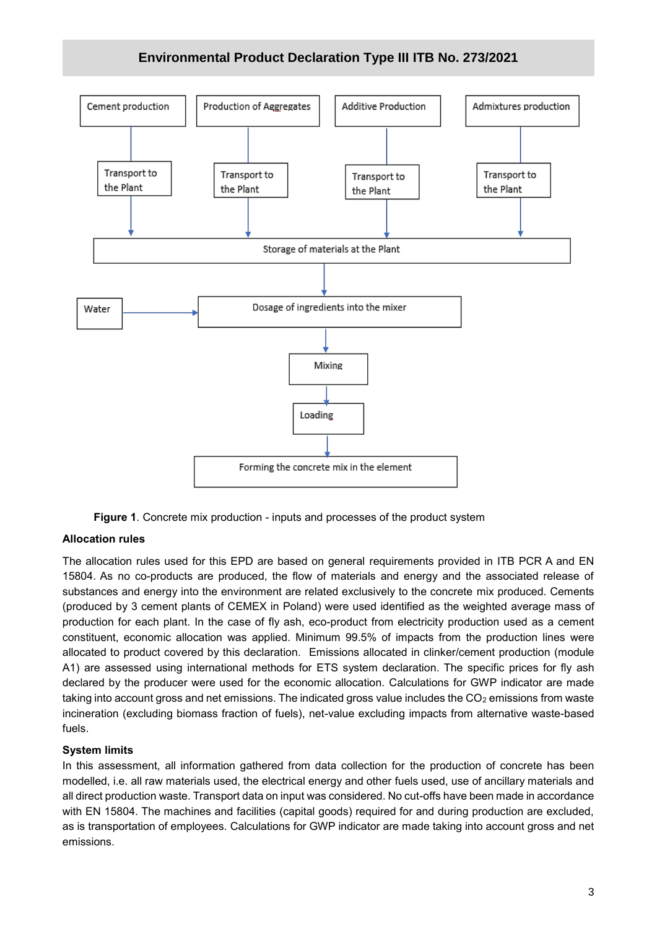

**Figure 1**. Concrete mix production - inputs and processes of the product system

### **Allocation rules**

The allocation rules used for this EPD are based on general requirements provided in ITB PCR A and EN 15804. As no co-products are produced, the flow of materials and energy and the associated release of substances and energy into the environment are related exclusively to the concrete mix produced. Cements (produced by 3 cement plants of CEMEX in Poland) were used identified as the weighted average mass of production for each plant. In the case of fly ash, eco-product from electricity production used as a cement constituent, economic allocation was applied. Minimum 99.5% of impacts from the production lines were allocated to product covered by this declaration. Emissions allocated in clinker/cement production (module A1) are assessed using international methods for ETS system declaration. The specific prices for fly ash declared by the producer were used for the economic allocation. Calculations for GWP indicator are made taking into account gross and net emissions. The indicated gross value includes the  $CO<sub>2</sub>$  emissions from waste incineration (excluding biomass fraction of fuels), net-value excluding impacts from alternative waste-based fuels.

#### **System limits**

In this assessment, all information gathered from data collection for the production of concrete has been modelled, i.e. all raw materials used, the electrical energy and other fuels used, use of ancillary materials and all direct production waste. Transport data on input was considered. No cut-offs have been made in accordance with EN 15804. The machines and facilities (capital goods) required for and during production are excluded, as is transportation of employees. Calculations for GWP indicator are made taking into account gross and net emissions.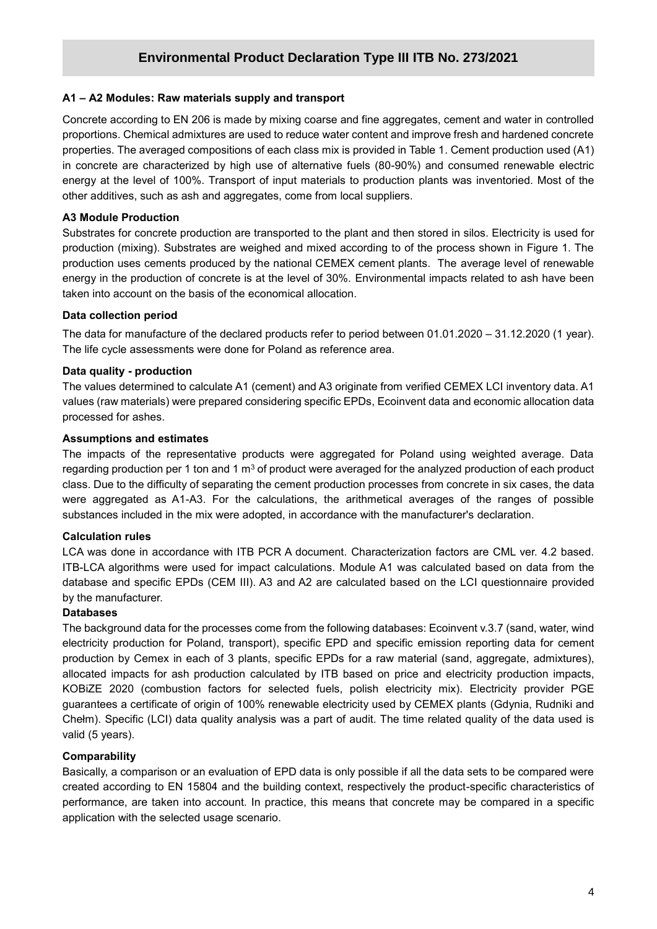#### **A1 – A2 Modules: Raw materials supply and transport**

**/2020** proportions. Chemical admixtures are used to reduce water content and improve fresh and hardened concrete Concrete according to EN 206 is made by mixing coarse and fine aggregates, cement and water in controlled properties. The averaged compositions of each class mix is provided in Table 1. Cement production used (A1) in concrete are characterized by high use of alternative fuels (80-90%) and consumed renewable electric energy at the level of 100%. Transport of input materials to production plants was inventoried. Most of the other additives, such as ash and aggregates, come from local suppliers.

#### **A3 Module Production**

Substrates for concrete production are transported to the plant and then stored in silos. Electricity is used for production (mixing). Substrates are weighed and mixed according to of the process shown in Figure 1. The production uses cements produced by the national CEMEX cement plants. The average level of renewable energy in the production of concrete is at the level of 30%. Environmental impacts related to ash have been taken into account on the basis of the economical allocation.

#### **Data collection period**

The data for manufacture of the declared products refer to period between 01.01.2020 – 31.12.2020 (1 year). The life cycle assessments were done for Poland as reference area.

#### **Data quality - production**

The values determined to calculate A1 (cement) and A3 originate from verified CEMEX LCI inventory data. A1 values (raw materials) were prepared considering specific EPDs, Ecoinvent data and economic allocation data processed for ashes.

#### **Assumptions and estimates**

The impacts of the representative products were aggregated for Poland using weighted average. Data regarding production per 1 ton and 1  $\text{m}^3$  of product were averaged for the analyzed production of each product class. Due to the difficulty of separating the cement production processes from concrete in six cases, the data were aggregated as A1-A3. For the calculations, the arithmetical averages of the ranges of possible substances included in the mix were adopted, in accordance with the manufacturer's declaration.

#### **Calculation rules**

LCA was done in accordance with ITB PCR A document. Characterization factors are CML ver. 4.2 based. ITB-LCA algorithms were used for impact calculations. Module A1 was calculated based on data from the database and specific EPDs (CEM III). A3 and A2 are calculated based on the LCI questionnaire provided by the manufacturer.

#### **Databases**

The background data for the processes come from the following databases: Ecoinvent v.3.7 (sand, water, wind electricity production for Poland, transport), specific EPD and specific emission reporting data for cement production by Cemex in each of 3 plants, specific EPDs for a raw material (sand, aggregate, admixtures), allocated impacts for ash production calculated by ITB based on price and electricity production impacts, KOBiZE 2020 (combustion factors for selected fuels, polish electricity mix). Electricity provider PGE guarantees a certificate of origin of 100% renewable electricity used by CEMEX plants (Gdynia, Rudniki and Chełm). Specific (LCI) data quality analysis was a part of audit. The time related quality of the data used is valid (5 years).

#### **Comparability**

Basically, a comparison or an evaluation of EPD data is only possible if all the data sets to be compared were created according to EN 15804 and the building context, respectively the product-specific characteristics of performance, are taken into account. In practice, this means that concrete may be compared in a specific application with the selected usage scenario.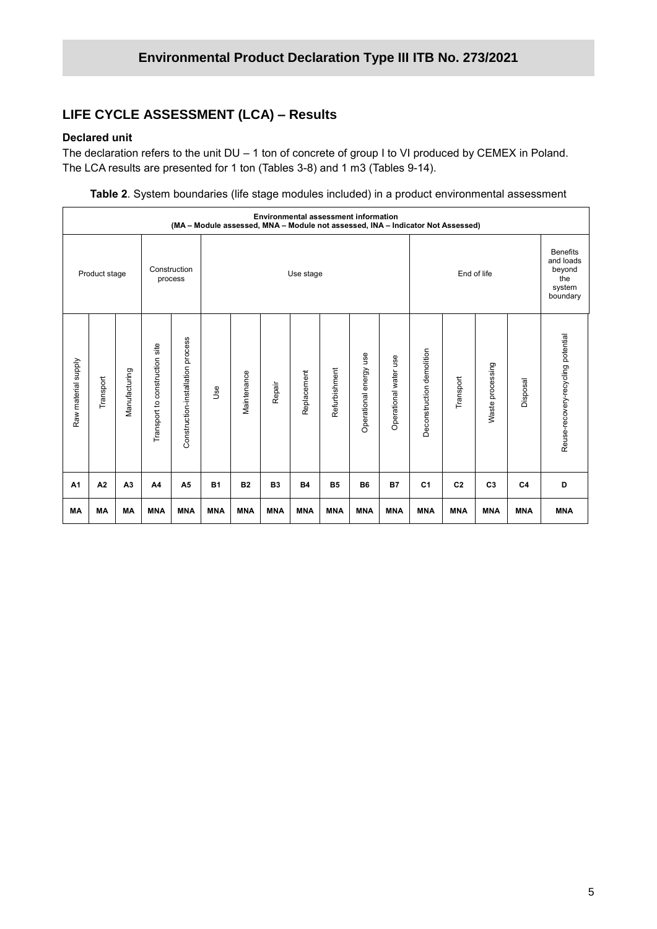### **LIFE CYCLE ASSESSMENT (LCA) – Results**

#### **Declared unit**

The declaration refers to the unit DU – 1 ton of concrete of group I to VI produced by CEMEX in Poland. The LCA results are presented for 1 ton (Tables 3-8) and 1 m3 (Tables 9-14).

**Table 2**. System boundaries (life stage modules included) in a product environmental assessment

|                     | <b>Environmental assessment information</b><br>(MA - Module assessed, MNA - Module not assessed, INA - Indicator Not Assessed) |                |                                |                                   |            |             |                |             |               |                           |                       |                                                                     |                |                  |                |                                    |
|---------------------|--------------------------------------------------------------------------------------------------------------------------------|----------------|--------------------------------|-----------------------------------|------------|-------------|----------------|-------------|---------------|---------------------------|-----------------------|---------------------------------------------------------------------|----------------|------------------|----------------|------------------------------------|
| Product stage       |                                                                                                                                |                | Construction<br>process        |                                   | Use stage  |             |                |             |               | End of life               |                       | <b>Benefits</b><br>and loads<br>beyond<br>the<br>system<br>boundary |                |                  |                |                                    |
| Raw material supply | Transport                                                                                                                      | Manufacturing  | Transport to construction site | Construction-installation process | Jse        | Maintenance | Repair         | Replacement | Refurbishment | energy use<br>Operational | Operational water use | Deconstruction demolition                                           | Transport      | Waste processing | Disposal       | Reuse-recovery-recycling potential |
| A <sub>1</sub>      | A2                                                                                                                             | A <sub>3</sub> | A4                             | A <sub>5</sub>                    | <b>B1</b>  | <b>B2</b>   | B <sub>3</sub> | <b>B4</b>   | <b>B5</b>     | <b>B6</b>                 | <b>B7</b>             | C <sub>1</sub>                                                      | C <sub>2</sub> | C <sub>3</sub>   | C <sub>4</sub> | D                                  |
| <b>MA</b>           | MA                                                                                                                             | <b>MA</b>      | <b>MNA</b>                     | <b>MNA</b>                        | <b>MNA</b> | <b>MNA</b>  | <b>MNA</b>     | <b>MNA</b>  | <b>MNA</b>    | <b>MNA</b>                | <b>MNA</b>            | <b>MNA</b>                                                          | <b>MNA</b>     | <b>MNA</b>       | <b>MNA</b>     | <b>MNA</b>                         |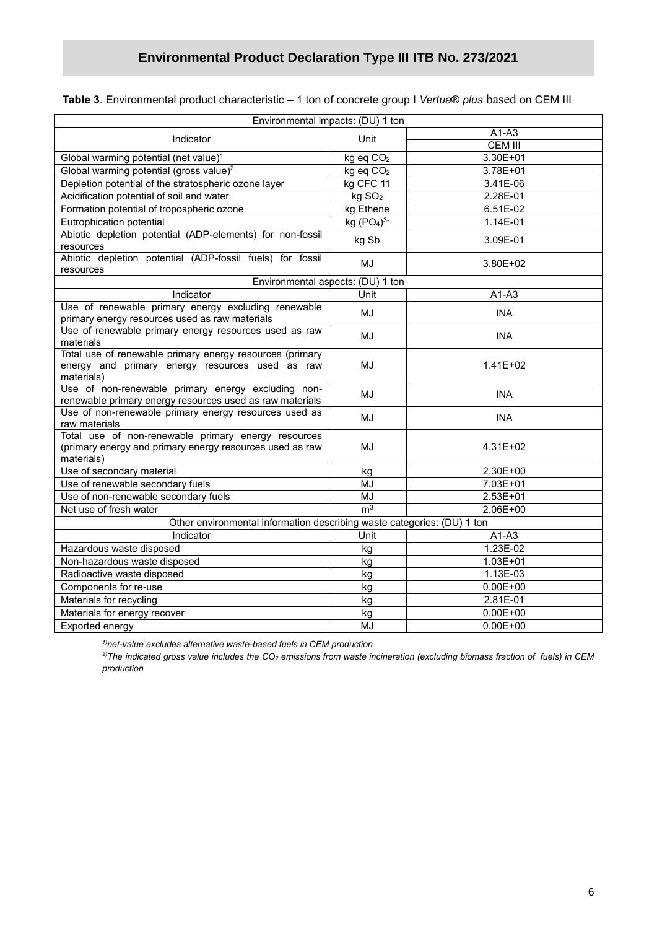|  | Table 3. Environmental product characteristic - 1 ton of concrete group I Vertua® plus based on CEM III |  |  |  |
|--|---------------------------------------------------------------------------------------------------------|--|--|--|
|--|---------------------------------------------------------------------------------------------------------|--|--|--|

| Environmental impacts: (DU) 1 ton                                                                                             |                       |                |  |  |  |
|-------------------------------------------------------------------------------------------------------------------------------|-----------------------|----------------|--|--|--|
| Indicator                                                                                                                     | Unit                  | $A1-A3$        |  |  |  |
|                                                                                                                               |                       | <b>CEM III</b> |  |  |  |
| Global warming potential (net value) <sup>1</sup>                                                                             | kg eq CO <sub>2</sub> | 3.30E+01       |  |  |  |
| Global warming potential (gross value) <sup>2</sup>                                                                           | kg eq CO <sub>2</sub> | 3.78E+01       |  |  |  |
| Depletion potential of the stratospheric ozone layer                                                                          | kg CFC 11             | 3.41E-06       |  |  |  |
| Acidification potential of soil and water                                                                                     | kg SO <sub>2</sub>    | 2.28E-01       |  |  |  |
| Formation potential of tropospheric ozone                                                                                     | kg Ethene             | 6.51E-02       |  |  |  |
| Eutrophication potential                                                                                                      | kg $(PO4)3$           | 1.14E-01       |  |  |  |
| Abiotic depletion potential (ADP-elements) for non-fossil<br>resources                                                        | kg Sb                 | 3.09E-01       |  |  |  |
| Abiotic depletion potential (ADP-fossil fuels) for fossil<br>resources                                                        | MJ                    | 3.80E+02       |  |  |  |
| Environmental aspects: (DU) 1 ton                                                                                             |                       |                |  |  |  |
| Indicator                                                                                                                     | Unit                  | $A1-A3$        |  |  |  |
| Use of renewable primary energy excluding renewable<br>primary energy resources used as raw materials                         | MJ                    | <b>INA</b>     |  |  |  |
| Use of renewable primary energy resources used as raw<br>materials                                                            | MJ                    | <b>INA</b>     |  |  |  |
| Total use of renewable primary energy resources (primary<br>energy and primary energy resources used as raw<br>materials)     | MJ                    | $1.41E + 02$   |  |  |  |
| Use of non-renewable primary energy excluding non-<br>renewable primary energy resources used as raw materials                | MJ                    | <b>INA</b>     |  |  |  |
| Use of non-renewable primary energy resources used as<br>raw materials                                                        | MJ                    | <b>INA</b>     |  |  |  |
| Total use of non-renewable primary energy resources<br>(primary energy and primary energy resources used as raw<br>materials) | MJ                    | 4.31E+02       |  |  |  |
| Use of secondary material                                                                                                     | kg                    | 2.30E+00       |  |  |  |
| Use of renewable secondary fuels                                                                                              | MJ                    | 7.03E+01       |  |  |  |
| Use of non-renewable secondary fuels                                                                                          | <b>MJ</b>             | 2.53E+01       |  |  |  |
| Net use of fresh water                                                                                                        | m <sup>3</sup>        | 2.06E+00       |  |  |  |
| Other environmental information describing waste categories: (DU) 1 ton                                                       |                       |                |  |  |  |
| Indicator                                                                                                                     | Unit                  | $A1-A3$        |  |  |  |
| Hazardous waste disposed                                                                                                      | kg                    | 1.23E-02       |  |  |  |
| Non-hazardous waste disposed                                                                                                  | kg                    | 1.03E+01       |  |  |  |
| Radioactive waste disposed                                                                                                    | kg                    | 1.13E-03       |  |  |  |
| Components for re-use                                                                                                         | kg                    | $0.00E + 00$   |  |  |  |
| Materials for recycling                                                                                                       | kg                    | 2.81E-01       |  |  |  |
| Materials for energy recover                                                                                                  | kg                    | $0.00E + 00$   |  |  |  |
| Exported energy                                                                                                               | MJ                    | $0.00E + 00$   |  |  |  |

*1)net-value excludes alternative waste-based fuels in CEM production*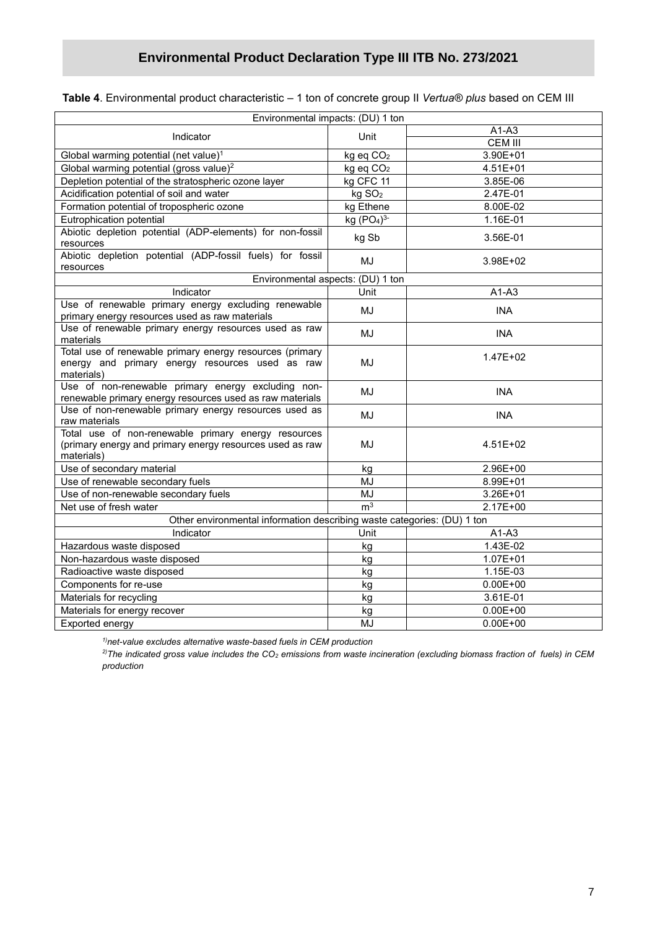|  | Table 4. Environmental product characteristic – 1 ton of concrete group II Ve <i>rtua® plus</i> based on CEM III |  |  |  |  |
|--|------------------------------------------------------------------------------------------------------------------|--|--|--|--|
|--|------------------------------------------------------------------------------------------------------------------|--|--|--|--|

| Environmental impacts: (DU) 1 ton                                                                                             |                                    |                |
|-------------------------------------------------------------------------------------------------------------------------------|------------------------------------|----------------|
|                                                                                                                               |                                    | $A1-A3$        |
| Indicator                                                                                                                     | Unit                               | <b>CEM III</b> |
| Global warming potential (net value) <sup>1</sup>                                                                             | kg eq CO <sub>2</sub>              | 3.90E+01       |
| Global warming potential (gross value) <sup>2</sup>                                                                           | kg eq CO <sub>2</sub>              | 4.51E+01       |
| Depletion potential of the stratospheric ozone layer                                                                          | kg CFC 11                          | $3.85E-06$     |
| Acidification potential of soil and water                                                                                     | kg SO <sub>2</sub>                 | 2.47E-01       |
| Formation potential of tropospheric ozone                                                                                     | kg Ethene                          | 8.00E-02       |
| Eutrophication potential                                                                                                      | kg (PO <sub>4</sub> ) <sup>3</sup> | 1.16E-01       |
| Abiotic depletion potential (ADP-elements) for non-fossil<br>resources                                                        | kg Sb                              | 3.56E-01       |
| Abiotic depletion potential (ADP-fossil fuels) for fossil<br>resources                                                        | MJ                                 | 3.98E+02       |
| Environmental aspects: (DU) 1 ton                                                                                             |                                    |                |
| Indicator                                                                                                                     | Unit                               | $A1-A3$        |
| Use of renewable primary energy excluding renewable<br>primary energy resources used as raw materials                         | MJ                                 | <b>INA</b>     |
| Use of renewable primary energy resources used as raw<br>materials                                                            | MJ                                 | <b>INA</b>     |
| Total use of renewable primary energy resources (primary<br>energy and primary energy resources used as raw<br>materials)     | MJ                                 | 1.47E+02       |
| Use of non-renewable primary energy excluding non-<br>renewable primary energy resources used as raw materials                | MJ                                 | <b>INA</b>     |
| Use of non-renewable primary energy resources used as<br>raw materials                                                        | MJ                                 | <b>INA</b>     |
| Total use of non-renewable primary energy resources<br>(primary energy and primary energy resources used as raw<br>materials) | MJ                                 | 4.51E+02       |
| Use of secondary material                                                                                                     | kg                                 | 2.96E+00       |
| Use of renewable secondary fuels                                                                                              | MJ                                 | 8.99E+01       |
| Use of non-renewable secondary fuels                                                                                          | <b>MJ</b>                          | 3.26E+01       |
| Net use of fresh water                                                                                                        | m <sup>3</sup>                     | 2.17E+00       |
| Other environmental information describing waste categories: (DU) 1 ton                                                       |                                    |                |
| Indicator                                                                                                                     | Unit                               | $A1-A3$        |
| Hazardous waste disposed                                                                                                      | kg                                 | 1.43E-02       |
| Non-hazardous waste disposed                                                                                                  | kg                                 | $1.07E + 01$   |
| Radioactive waste disposed                                                                                                    | kg                                 | 1.15E-03       |
| Components for re-use                                                                                                         | kg                                 | $0.00E + 00$   |
| Materials for recycling                                                                                                       | kg                                 | 3.61E-01       |
| Materials for energy recover                                                                                                  | kg                                 | $0.00E + 00$   |
| Exported energy                                                                                                               | MJ                                 | $0.00E + 00$   |

*1)net-value excludes alternative waste-based fuels in CEM production*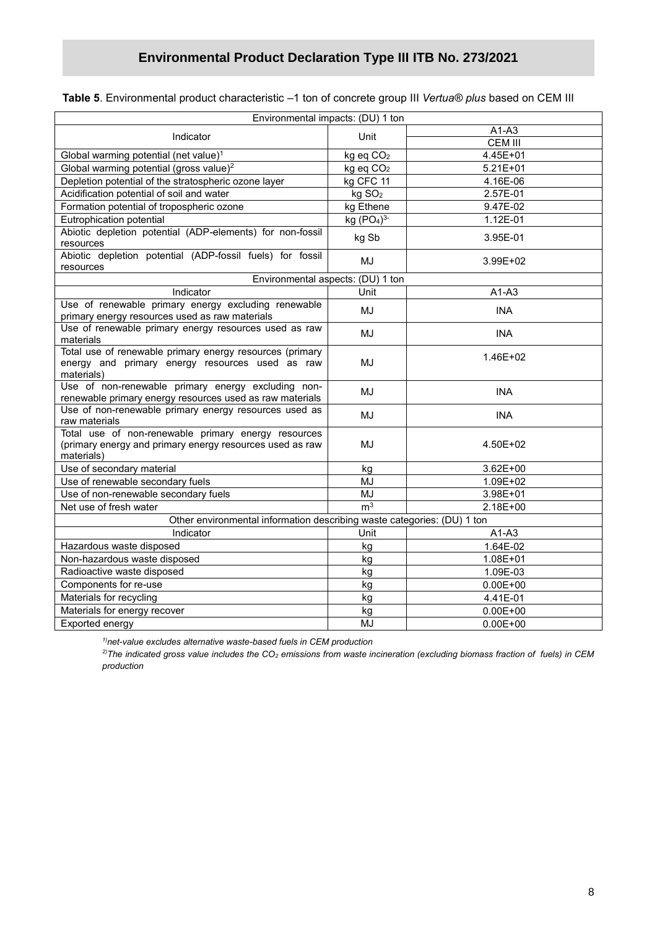| Environmental impacts: (DU) 1 ton                                                                                             |                                    |                |  |  |  |  |
|-------------------------------------------------------------------------------------------------------------------------------|------------------------------------|----------------|--|--|--|--|
| Indicator                                                                                                                     | Unit                               | $A1-A3$        |  |  |  |  |
|                                                                                                                               |                                    | <b>CEM III</b> |  |  |  |  |
| Global warming potential (net value) <sup>1</sup>                                                                             | kg eq CO <sub>2</sub>              | 4.45E+01       |  |  |  |  |
| Global warming potential (gross value) <sup>2</sup>                                                                           | kg eq CO <sub>2</sub>              | $5.21E + 01$   |  |  |  |  |
| Depletion potential of the stratospheric ozone layer                                                                          | kg CFC 11                          | 4.16E-06       |  |  |  |  |
| Acidification potential of soil and water                                                                                     | kg SO <sub>2</sub>                 | 2.57E-01       |  |  |  |  |
| Formation potential of tropospheric ozone                                                                                     | kg Ethene                          | 9.47E-02       |  |  |  |  |
| Eutrophication potential                                                                                                      | kg (PO <sub>4</sub> ) <sup>3</sup> | 1.12E-01       |  |  |  |  |
| Abiotic depletion potential (ADP-elements) for non-fossil<br>resources                                                        | kg Sb                              | 3.95E-01       |  |  |  |  |
| Abiotic depletion potential (ADP-fossil fuels) for fossil<br>resources                                                        | MJ                                 | 3.99E+02       |  |  |  |  |
| Environmental aspects: (DU) 1 ton                                                                                             |                                    |                |  |  |  |  |
| Indicator                                                                                                                     | Unit                               | $A1-A3$        |  |  |  |  |
| Use of renewable primary energy excluding renewable<br>primary energy resources used as raw materials                         | MJ                                 | <b>INA</b>     |  |  |  |  |
| Use of renewable primary energy resources used as raw<br>materials                                                            | MJ                                 | <b>INA</b>     |  |  |  |  |
| Total use of renewable primary energy resources (primary<br>energy and primary energy resources used as raw<br>materials)     | MJ                                 | 1.46E+02       |  |  |  |  |
| Use of non-renewable primary energy excluding non-<br>renewable primary energy resources used as raw materials                | <b>MJ</b>                          | <b>INA</b>     |  |  |  |  |
| Use of non-renewable primary energy resources used as<br>raw materials                                                        | <b>MJ</b>                          | <b>INA</b>     |  |  |  |  |
| Total use of non-renewable primary energy resources<br>(primary energy and primary energy resources used as raw<br>materials) | MJ                                 | 4.50E+02       |  |  |  |  |
| Use of secondary material                                                                                                     | kg                                 | $3.62E + 00$   |  |  |  |  |
| Use of renewable secondary fuels                                                                                              | MJ                                 | 1.09E+02       |  |  |  |  |
| Use of non-renewable secondary fuels                                                                                          | <b>MJ</b>                          | $3.98E + 01$   |  |  |  |  |
| Net use of fresh water                                                                                                        | m <sup>3</sup>                     | 2.18E+00       |  |  |  |  |
| Other environmental information describing waste categories: (DU) 1 ton                                                       |                                    |                |  |  |  |  |
| Indicator                                                                                                                     | Unit                               | $A1-A3$        |  |  |  |  |
| Hazardous waste disposed                                                                                                      | kg                                 | 1.64E-02       |  |  |  |  |
| Non-hazardous waste disposed                                                                                                  | kg                                 | 1.08E+01       |  |  |  |  |
| Radioactive waste disposed                                                                                                    | kg                                 | 1.09E-03       |  |  |  |  |
| Components for re-use                                                                                                         | kg                                 | $0.00E + 00$   |  |  |  |  |
| Materials for recycling                                                                                                       | kg                                 | 4.41E-01       |  |  |  |  |
| Materials for energy recover                                                                                                  | kg                                 | $0.00E + 00$   |  |  |  |  |
| Exported energy                                                                                                               | MJ                                 | $0.00E + 00$   |  |  |  |  |
|                                                                                                                               |                                    |                |  |  |  |  |

**Table 5**. Environmental product characteristic –1 ton of concrete group III *Vertua® plus* based on CEM III

*1)net-value excludes alternative waste-based fuels in CEM production*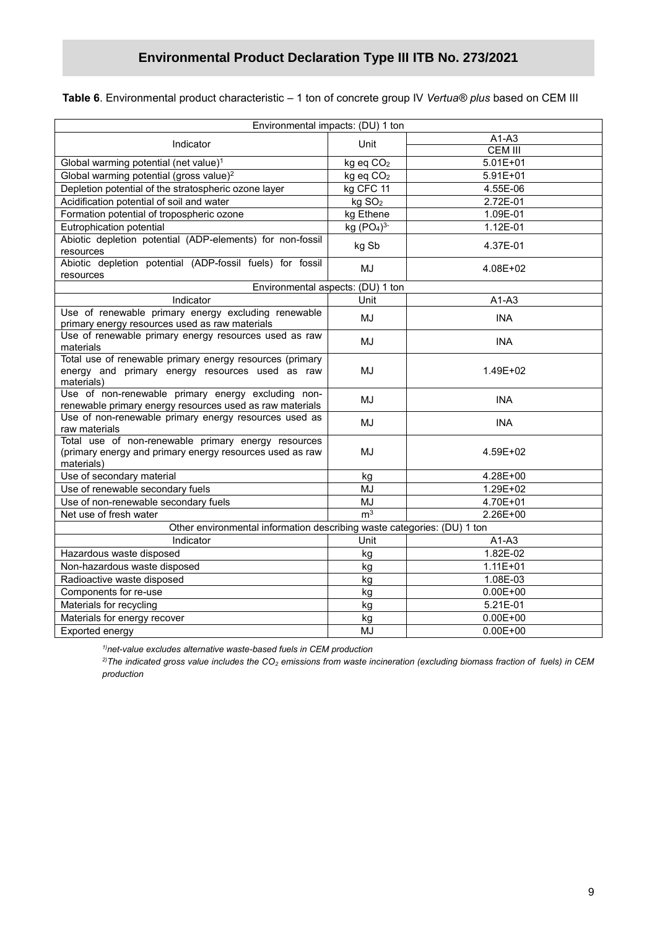#### **Table 6**. Environmental product characteristic – 1 ton of concrete group IV *Vertua® plus* based on CEM III

|                                                                                                                               | Environmental impacts: (DU) 1 ton |                |  |  |  |  |  |
|-------------------------------------------------------------------------------------------------------------------------------|-----------------------------------|----------------|--|--|--|--|--|
| Indicator                                                                                                                     | Unit                              | $A1-A3$        |  |  |  |  |  |
|                                                                                                                               |                                   | <b>CEM III</b> |  |  |  |  |  |
| Global warming potential (net value) <sup>1</sup>                                                                             | kg eq CO <sub>2</sub>             | $5.01E + 01$   |  |  |  |  |  |
| Global warming potential (gross value) <sup>2</sup>                                                                           | kg eq CO <sub>2</sub>             | $5.91E + 01$   |  |  |  |  |  |
| Depletion potential of the stratospheric ozone layer                                                                          | kg CFC 11                         | 4.55E-06       |  |  |  |  |  |
| Acidification potential of soil and water                                                                                     | kg SO <sub>2</sub>                | 2.72E-01       |  |  |  |  |  |
| Formation potential of tropospheric ozone                                                                                     | kg Ethene                         | 1.09E-01       |  |  |  |  |  |
| Eutrophication potential                                                                                                      | kg $(PO4)3$                       | 1.12E-01       |  |  |  |  |  |
| Abiotic depletion potential (ADP-elements) for non-fossil<br>resources                                                        | kg Sb                             | 4.37E-01       |  |  |  |  |  |
| Abiotic depletion potential (ADP-fossil fuels) for fossil<br>resources                                                        | MJ                                | 4.08E+02       |  |  |  |  |  |
|                                                                                                                               | Environmental aspects: (DU) 1 ton |                |  |  |  |  |  |
| Indicator                                                                                                                     | Unit                              | $A1-A3$        |  |  |  |  |  |
| Use of renewable primary energy excluding renewable<br>primary energy resources used as raw materials                         | MJ                                | <b>INA</b>     |  |  |  |  |  |
| Use of renewable primary energy resources used as raw<br>materials                                                            | MJ                                | <b>INA</b>     |  |  |  |  |  |
| Total use of renewable primary energy resources (primary<br>energy and primary energy resources used as raw<br>materials)     | MJ                                | 1.49E+02       |  |  |  |  |  |
| Use of non-renewable primary energy excluding non-<br>renewable primary energy resources used as raw materials                | MJ                                | <b>INA</b>     |  |  |  |  |  |
| Use of non-renewable primary energy resources used as<br>raw materials                                                        | MJ                                | <b>INA</b>     |  |  |  |  |  |
| Total use of non-renewable primary energy resources<br>(primary energy and primary energy resources used as raw<br>materials) | MJ                                | 4.59E+02       |  |  |  |  |  |
| Use of secondary material                                                                                                     | kg                                | 4.28E+00       |  |  |  |  |  |
| Use of renewable secondary fuels                                                                                              | MJ                                | 1.29E+02       |  |  |  |  |  |
| Use of non-renewable secondary fuels                                                                                          | <b>MJ</b>                         | 4.70E+01       |  |  |  |  |  |
| Net use of fresh water                                                                                                        | m <sup>3</sup>                    | 2.26E+00       |  |  |  |  |  |
| Other environmental information describing waste categories: (DU) 1 ton                                                       |                                   |                |  |  |  |  |  |
| Indicator                                                                                                                     | Unit                              | $A1-A3$        |  |  |  |  |  |
| Hazardous waste disposed                                                                                                      | kg                                | 1.82E-02       |  |  |  |  |  |
| Non-hazardous waste disposed                                                                                                  | kg                                | $1.11E + 01$   |  |  |  |  |  |
| Radioactive waste disposed                                                                                                    | kg                                | 1.08E-03       |  |  |  |  |  |
| Components for re-use                                                                                                         | kg                                | $0.00E + 00$   |  |  |  |  |  |
| Materials for recycling                                                                                                       | kg                                | 5.21E-01       |  |  |  |  |  |
| Materials for energy recover                                                                                                  | kg                                | $0.00E + 00$   |  |  |  |  |  |
| Exported energy                                                                                                               | MJ                                | $0.00E + 00$   |  |  |  |  |  |

*1)net-value excludes alternative waste-based fuels in CEM production*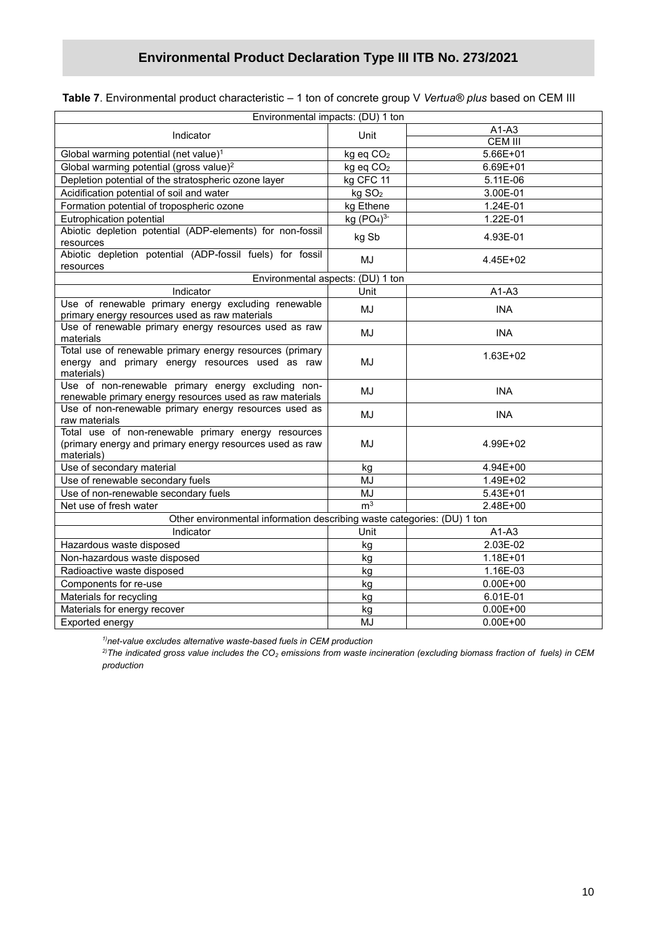| Environmental impacts: (DU) 1 ton                                                                           |                       |                |  |  |  |
|-------------------------------------------------------------------------------------------------------------|-----------------------|----------------|--|--|--|
|                                                                                                             |                       | $A1-A3$        |  |  |  |
| Indicator                                                                                                   | Unit                  | <b>CEM III</b> |  |  |  |
| Global warming potential (net value) <sup>1</sup>                                                           | kg eq CO <sub>2</sub> | 5.66E+01       |  |  |  |
| Global warming potential (gross value) <sup>2</sup>                                                         | kg eq CO <sub>2</sub> | 6.69E+01       |  |  |  |
| Depletion potential of the stratospheric ozone layer                                                        | kg CFC 11             | 5.11E-06       |  |  |  |
| Acidification potential of soil and water                                                                   | kg SO <sub>2</sub>    | 3.00E-01       |  |  |  |
| Formation potential of tropospheric ozone                                                                   | kg Ethene             | 1.24E-01       |  |  |  |
| Eutrophication potential                                                                                    | kg $(PO4)3$           | 1.22E-01       |  |  |  |
| Abiotic depletion potential (ADP-elements) for non-fossil                                                   | kg Sb                 | 4.93E-01       |  |  |  |
| resources                                                                                                   |                       |                |  |  |  |
| Abiotic depletion potential (ADP-fossil fuels) for fossil<br>resources                                      | MJ                    | 4.45E+02       |  |  |  |
| Environmental aspects: (DU) 1 ton                                                                           |                       |                |  |  |  |
| Indicator                                                                                                   | Unit                  | $A1-A3$        |  |  |  |
| Use of renewable primary energy excluding renewable                                                         |                       |                |  |  |  |
| primary energy resources used as raw materials                                                              | MJ                    | <b>INA</b>     |  |  |  |
| Use of renewable primary energy resources used as raw                                                       | MJ                    | <b>INA</b>     |  |  |  |
| materials                                                                                                   |                       |                |  |  |  |
| Total use of renewable primary energy resources (primary<br>energy and primary energy resources used as raw | MJ                    | $1.63E + 02$   |  |  |  |
| materials)                                                                                                  |                       |                |  |  |  |
| Use of non-renewable primary energy excluding non-                                                          |                       |                |  |  |  |
| renewable primary energy resources used as raw materials                                                    | MJ                    | <b>INA</b>     |  |  |  |
| Use of non-renewable primary energy resources used as                                                       | MJ                    | <b>INA</b>     |  |  |  |
| raw materials                                                                                               |                       |                |  |  |  |
| Total use of non-renewable primary energy resources                                                         |                       |                |  |  |  |
| (primary energy and primary energy resources used as raw                                                    | MJ                    | 4.99E+02       |  |  |  |
| materials)                                                                                                  |                       |                |  |  |  |
| Use of secondary material                                                                                   | kg                    | 4.94E+00       |  |  |  |
| Use of renewable secondary fuels                                                                            | MJ                    | 1.49E+02       |  |  |  |
| Use of non-renewable secondary fuels                                                                        | MJ<br>m <sup>3</sup>  | $5.43E + 01$   |  |  |  |
| Net use of fresh water                                                                                      |                       | 2.48E+00       |  |  |  |
| Other environmental information describing waste categories: (DU) 1 ton                                     |                       |                |  |  |  |
| Indicator                                                                                                   | Unit                  | $A1-A3$        |  |  |  |
| Hazardous waste disposed                                                                                    | kg                    | 2.03E-02       |  |  |  |
| Non-hazardous waste disposed                                                                                | kg                    | 1.18E+01       |  |  |  |
| Radioactive waste disposed                                                                                  | kg                    | 1.16E-03       |  |  |  |
| Components for re-use                                                                                       | kg                    | $0.00E + 00$   |  |  |  |
| Materials for recycling                                                                                     | kg                    | 6.01E-01       |  |  |  |
| Materials for energy recover                                                                                | kg                    | $0.00E + 00$   |  |  |  |
| Exported energy                                                                                             | MJ                    | $0.00E + 00$   |  |  |  |

*1)net-value excludes alternative waste-based fuels in CEM production*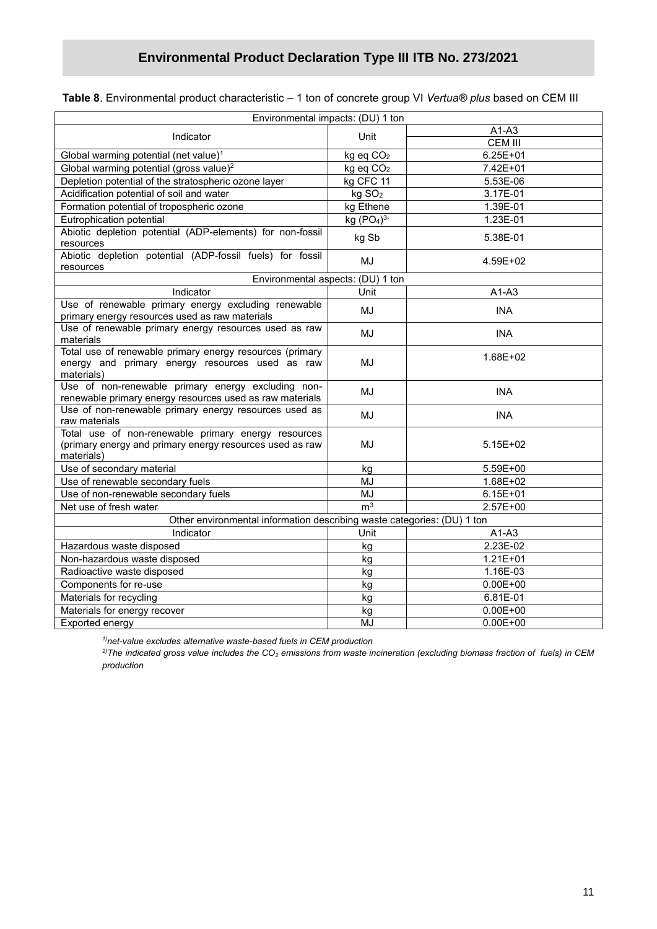|  |  | Table 8. Environmental product characteristic – 1 ton of concrete group VI Vertua® plus based on CEM III |  |  |  |
|--|--|----------------------------------------------------------------------------------------------------------|--|--|--|
|--|--|----------------------------------------------------------------------------------------------------------|--|--|--|

|                                                                                                                               | Environmental impacts: (DU) 1 ton  |                |
|-------------------------------------------------------------------------------------------------------------------------------|------------------------------------|----------------|
|                                                                                                                               |                                    | $A1-A3$        |
| Indicator                                                                                                                     | Unit                               | <b>CEM III</b> |
| Global warming potential (net value) <sup>1</sup>                                                                             | kg eq CO <sub>2</sub>              | $6.25E + 01$   |
| Global warming potential (gross value) <sup>2</sup>                                                                           | kg eq CO <sub>2</sub>              | 7.42E+01       |
| Depletion potential of the stratospheric ozone layer                                                                          | kg CFC 11                          | 5.53E-06       |
| Acidification potential of soil and water                                                                                     | kg SO <sub>2</sub>                 | 3.17E-01       |
| Formation potential of tropospheric ozone                                                                                     | kg Ethene                          | 1.39E-01       |
| Eutrophication potential                                                                                                      | kg (PO <sub>4</sub> ) <sup>3</sup> | 1.23E-01       |
| Abiotic depletion potential (ADP-elements) for non-fossil<br>resources                                                        | kg Sb                              | 5.38E-01       |
| Abiotic depletion potential (ADP-fossil fuels) for fossil<br>resources                                                        | MJ                                 | 4.59E+02       |
|                                                                                                                               | Environmental aspects: (DU) 1 ton  |                |
| Indicator                                                                                                                     | Unit                               | $A1-A3$        |
| Use of renewable primary energy excluding renewable<br>primary energy resources used as raw materials                         | MJ                                 | <b>INA</b>     |
| Use of renewable primary energy resources used as raw<br>materials                                                            | MJ                                 | <b>INA</b>     |
| Total use of renewable primary energy resources (primary<br>energy and primary energy resources used as raw<br>materials)     | MJ                                 | 1.68E+02       |
| Use of non-renewable primary energy excluding non-<br>renewable primary energy resources used as raw materials                | MJ                                 | <b>INA</b>     |
| Use of non-renewable primary energy resources used as<br>raw materials                                                        | MJ                                 | <b>INA</b>     |
| Total use of non-renewable primary energy resources<br>(primary energy and primary energy resources used as raw<br>materials) | MJ                                 | 5.15E+02       |
| Use of secondary material                                                                                                     | kg                                 | 5.59E+00       |
| Use of renewable secondary fuels                                                                                              | MJ                                 | 1.68E+02       |
| Use of non-renewable secondary fuels                                                                                          | MJ                                 | $6.15E + 01$   |
| Net use of fresh water                                                                                                        | m <sup>3</sup>                     | 2.57E+00       |
| Other environmental information describing waste categories: (DU) 1 ton                                                       |                                    |                |
| Indicator                                                                                                                     | Unit                               | $A1-A3$        |
| Hazardous waste disposed                                                                                                      | kg                                 | 2.23E-02       |
| Non-hazardous waste disposed                                                                                                  | kg                                 | $1.21E + 01$   |
| Radioactive waste disposed                                                                                                    | kg                                 | 1.16E-03       |
| Components for re-use                                                                                                         | kg                                 | $0.00E + 00$   |
| Materials for recycling                                                                                                       | kg                                 | 6.81E-01       |
| Materials for energy recover                                                                                                  | kg                                 | $0.00E + 00$   |
| Exported energy                                                                                                               | <b>MJ</b>                          | $0.00E + 00$   |

*1)net-value excludes alternative waste-based fuels in CEM production*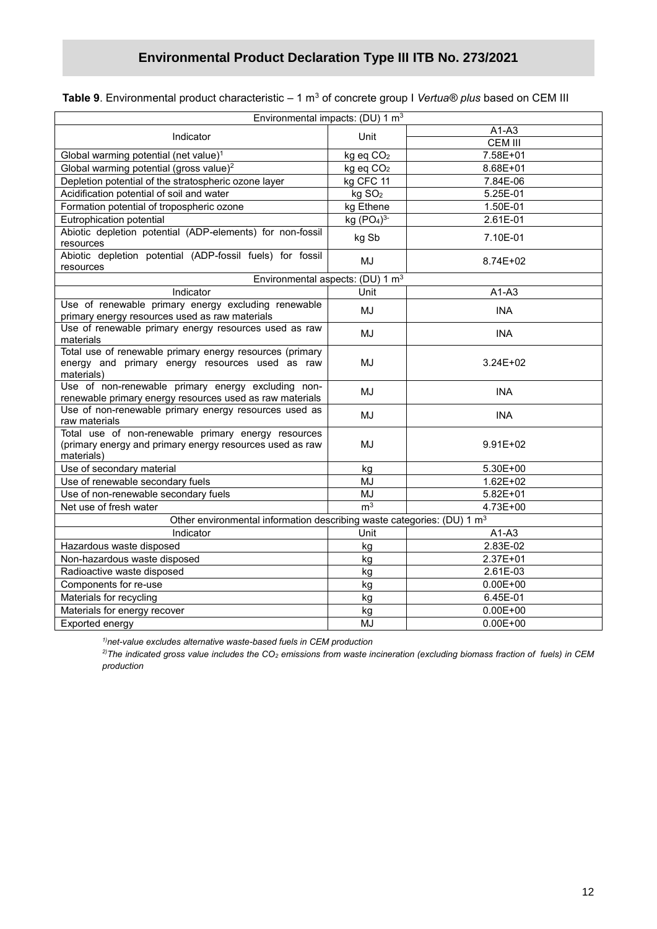| <b>Table 9</b> . Environmental product characteristic – 1 m $^3$ of concrete group I <i>Vertua® plus</i> based on CEM III |  |
|---------------------------------------------------------------------------------------------------------------------------|--|
|---------------------------------------------------------------------------------------------------------------------------|--|

| Environmental impacts: (DU) 1 m <sup>3</sup>                                                                                  |                                    |                        |
|-------------------------------------------------------------------------------------------------------------------------------|------------------------------------|------------------------|
|                                                                                                                               |                                    | $A1-A3$                |
| Indicator                                                                                                                     | Unit                               | <b>CEM III</b>         |
| Global warming potential (net value) <sup>1</sup>                                                                             | kg eq CO <sub>2</sub>              | 7.58E+01               |
| Global warming potential (gross value) <sup>2</sup>                                                                           | kg eq CO <sub>2</sub>              | 8.68E+01               |
| Depletion potential of the stratospheric ozone layer                                                                          | kg CFC 11                          | 7.84E-06               |
| Acidification potential of soil and water                                                                                     | kg SO <sub>2</sub>                 | $\overline{5.25}$ E-01 |
| Formation potential of tropospheric ozone                                                                                     | kg Ethene                          | 1.50E-01               |
| Eutrophication potential                                                                                                      | kg (PO <sub>4</sub> ) <sup>3</sup> | 2.61E-01               |
| Abiotic depletion potential (ADP-elements) for non-fossil<br>resources                                                        | kg Sb                              | 7.10E-01               |
| Abiotic depletion potential (ADP-fossil fuels) for fossil<br>resources                                                        | MJ                                 | 8.74E+02               |
| Environmental aspects: (DU) 1 m <sup>3</sup>                                                                                  |                                    |                        |
| Indicator                                                                                                                     | Unit                               | $A1-A3$                |
| Use of renewable primary energy excluding renewable<br>primary energy resources used as raw materials                         | MJ                                 | <b>INA</b>             |
| Use of renewable primary energy resources used as raw<br>materials                                                            | MJ                                 | <b>INA</b>             |
| Total use of renewable primary energy resources (primary<br>energy and primary energy resources used as raw<br>materials)     | MJ                                 | $3.24E + 02$           |
| Use of non-renewable primary energy excluding non-<br>renewable primary energy resources used as raw materials                | MJ                                 | <b>INA</b>             |
| Use of non-renewable primary energy resources used as<br>raw materials                                                        | MJ                                 | <b>INA</b>             |
| Total use of non-renewable primary energy resources<br>(primary energy and primary energy resources used as raw<br>materials) | MJ                                 | $9.91E + 02$           |
| Use of secondary material                                                                                                     | kg                                 | 5.30E+00               |
| Use of renewable secondary fuels                                                                                              | MJ                                 | $1.62E + 02$           |
| Use of non-renewable secondary fuels                                                                                          | MJ                                 | $5.82E + 01$           |
| Net use of fresh water                                                                                                        | m <sup>3</sup>                     | 4.73E+00               |
| Other environmental information describing waste categories: (DU) 1 m <sup>3</sup>                                            |                                    |                        |
| Indicator                                                                                                                     | Unit                               | $A1-A3$                |
| Hazardous waste disposed                                                                                                      | kg                                 | 2.83E-02               |
| Non-hazardous waste disposed                                                                                                  | kg                                 | 2.37E+01               |
| Radioactive waste disposed                                                                                                    | kg                                 | 2.61E-03               |
| Components for re-use                                                                                                         | kg                                 | $0.00E + 00$           |
| Materials for recycling                                                                                                       | kg                                 | 6.45E-01               |
| Materials for energy recover                                                                                                  | kg                                 | $0.00E + 00$           |
| Exported energy                                                                                                               | MJ                                 | $0.00E + 00$           |

*1)net-value excludes alternative waste-based fuels in CEM production*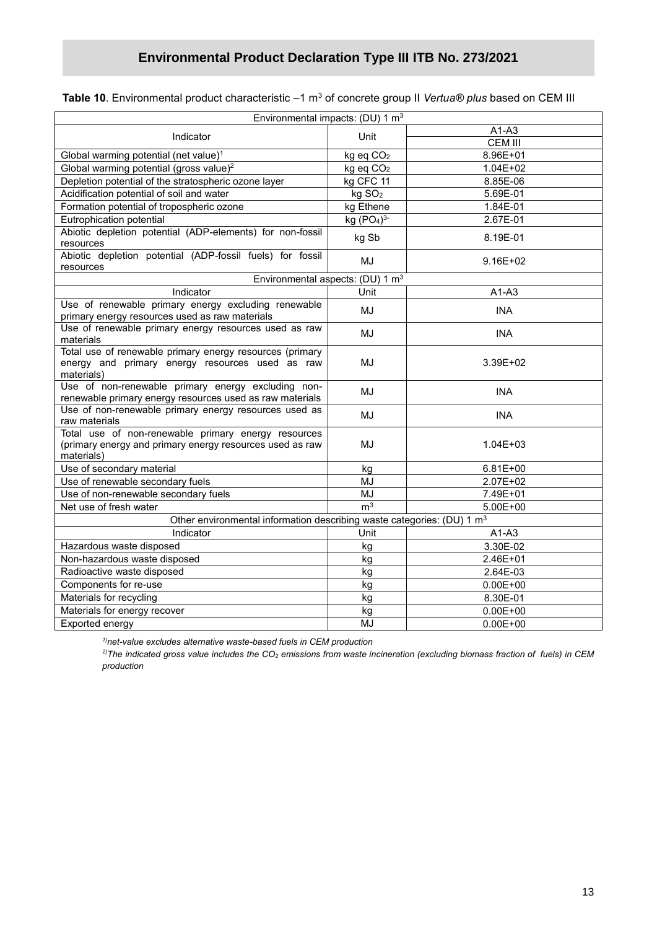| <b>Table 10</b> . Environmental product characteristic $-1$ m $^3$ of concrete group II <i>Vertua® plus</i> based on CEM III |  |  |  |  |
|------------------------------------------------------------------------------------------------------------------------------|--|--|--|--|
|------------------------------------------------------------------------------------------------------------------------------|--|--|--|--|

| Environmental impacts: (DU) 1 m <sup>3</sup>                                                                                  |                                              |                |
|-------------------------------------------------------------------------------------------------------------------------------|----------------------------------------------|----------------|
| Indicator                                                                                                                     | Unit                                         | $A1-A3$        |
|                                                                                                                               |                                              | <b>CEM III</b> |
| Global warming potential (net value) <sup>1</sup>                                                                             | kg eq CO <sub>2</sub>                        | 8.96E+01       |
| Global warming potential (gross value) <sup>2</sup>                                                                           | kg eq CO <sub>2</sub>                        | $1.04E + 02$   |
| Depletion potential of the stratospheric ozone layer                                                                          | kg CFC 11                                    | 8.85E-06       |
| Acidification potential of soil and water                                                                                     | kg SO <sub>2</sub>                           | 5.69E-01       |
| Formation potential of tropospheric ozone                                                                                     | kg Ethene                                    | 1.84E-01       |
| Eutrophication potential                                                                                                      | kg $(PO4)3$                                  | 2.67E-01       |
| Abiotic depletion potential (ADP-elements) for non-fossil<br>resources                                                        | kg Sb                                        | 8.19E-01       |
| Abiotic depletion potential (ADP-fossil fuels) for fossil<br>resources                                                        | MJ                                           | $9.16E + 02$   |
|                                                                                                                               | Environmental aspects: (DU) 1 m <sup>3</sup> |                |
| Indicator                                                                                                                     | Unit                                         | $A1-A3$        |
| Use of renewable primary energy excluding renewable<br>primary energy resources used as raw materials                         | MJ                                           | <b>INA</b>     |
| Use of renewable primary energy resources used as raw<br>materials                                                            | MJ                                           | <b>INA</b>     |
| Total use of renewable primary energy resources (primary<br>energy and primary energy resources used as raw<br>materials)     | MJ                                           | 3.39E+02       |
| Use of non-renewable primary energy excluding non-<br>renewable primary energy resources used as raw materials                | MJ                                           | <b>INA</b>     |
| Use of non-renewable primary energy resources used as<br>raw materials                                                        | MJ                                           | <b>INA</b>     |
| Total use of non-renewable primary energy resources<br>(primary energy and primary energy resources used as raw<br>materials) | MJ                                           | $1.04E + 03$   |
| Use of secondary material                                                                                                     | kg                                           | $6.81E + 00$   |
| Use of renewable secondary fuels                                                                                              | MJ                                           | 2.07E+02       |
| Use of non-renewable secondary fuels                                                                                          | MJ                                           | 7.49E+01       |
| Net use of fresh water                                                                                                        | m <sup>3</sup>                               | 5.00E+00       |
| Other environmental information describing waste categories: (DU) 1 m <sup>3</sup>                                            |                                              |                |
| Indicator                                                                                                                     | Unit                                         | $A1-A3$        |
| Hazardous waste disposed                                                                                                      | kg                                           | 3.30E-02       |
| Non-hazardous waste disposed                                                                                                  | kg                                           | 2.46E+01       |
| Radioactive waste disposed                                                                                                    | kg                                           | 2.64E-03       |
| Components for re-use                                                                                                         | kg                                           | $0.00E + 00$   |
| Materials for recycling                                                                                                       | kg                                           | 8.30E-01       |
| Materials for energy recover                                                                                                  | kg                                           | $0.00E + 00$   |
| Exported energy                                                                                                               | MJ                                           | $0.00E + 00$   |
|                                                                                                                               |                                              |                |

*1)net-value excludes alternative waste-based fuels in CEM production*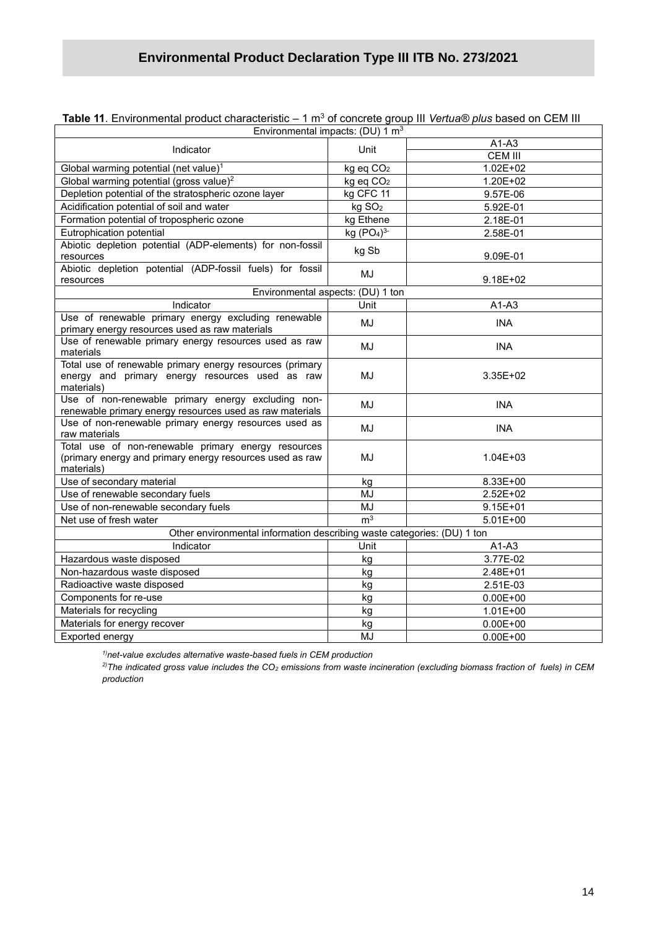| T <b>able 11</b> . Environmental product characteristic – 1 mº of concrete group III <i>vertua® pius</i> based on CEM III     |                                    |                |
|-------------------------------------------------------------------------------------------------------------------------------|------------------------------------|----------------|
| Environmental impacts: (DU) 1 m <sup>3</sup>                                                                                  |                                    |                |
| Indicator                                                                                                                     | Unit                               | $A1-A3$        |
|                                                                                                                               |                                    | <b>CEM III</b> |
| Global warming potential (net value) <sup>1</sup>                                                                             | kg eq CO <sub>2</sub>              | $1.02E + 02$   |
| Global warming potential (gross value) <sup>2</sup>                                                                           | kg eq CO <sub>2</sub>              | 1.20E+02       |
| Depletion potential of the stratospheric ozone layer                                                                          | kg CFC 11                          | 9.57E-06       |
| Acidification potential of soil and water                                                                                     | kg SO <sub>2</sub>                 | 5.92E-01       |
| Formation potential of tropospheric ozone                                                                                     | kg Ethene                          | 2.18E-01       |
| Eutrophication potential                                                                                                      | kg (PO <sub>4</sub> ) <sup>3</sup> | 2.58E-01       |
| Abiotic depletion potential (ADP-elements) for non-fossil<br>resources                                                        | kg Sb                              | 9.09E-01       |
| Abiotic depletion potential (ADP-fossil fuels) for fossil                                                                     |                                    |                |
| resources                                                                                                                     | MJ                                 | $9.18E + 02$   |
| Environmental aspects: (DU) 1 ton                                                                                             |                                    |                |
| Indicator                                                                                                                     | Unit                               | $A1-A3$        |
| Use of renewable primary energy excluding renewable<br>primary energy resources used as raw materials                         | MJ                                 | <b>INA</b>     |
| Use of renewable primary energy resources used as raw<br>materials                                                            | MJ                                 | <b>INA</b>     |
| Total use of renewable primary energy resources (primary<br>energy and primary energy resources used as raw<br>materials)     | MJ                                 | $3.35E + 02$   |
| Use of non-renewable primary energy excluding non-<br>renewable primary energy resources used as raw materials                | MJ                                 | <b>INA</b>     |
| Use of non-renewable primary energy resources used as<br>raw materials                                                        | MJ                                 | <b>INA</b>     |
| Total use of non-renewable primary energy resources<br>(primary energy and primary energy resources used as raw<br>materials) | MJ                                 | $1.04E + 03$   |
| Use of secondary material                                                                                                     | kg                                 | 8.33E+00       |
| Use of renewable secondary fuels                                                                                              | MJ                                 | 2.52E+02       |
| Use of non-renewable secondary fuels                                                                                          | <b>MJ</b>                          | $9.15E + 01$   |
| Net use of fresh water                                                                                                        | m <sup>3</sup>                     | $5.01E+00$     |
| Other environmental information describing waste categories: (DU) 1 ton                                                       |                                    |                |
| Indicator                                                                                                                     | Unit                               | $A1-A3$        |
| Hazardous waste disposed                                                                                                      | kg                                 | 3.77E-02       |
| Non-hazardous waste disposed                                                                                                  | ka                                 | 2.48E+01       |
| Radioactive waste disposed                                                                                                    | kg                                 | 2.51E-03       |
| Components for re-use                                                                                                         | kg                                 | $0.00E + 00$   |
| Materials for recycling                                                                                                       | kg                                 | $1.01E + 00$   |
| Materials for energy recover                                                                                                  | kg                                 | $0.00E + 00$   |
| Exported energy                                                                                                               | MJ                                 | $0.00E + 00$   |

**Table 11**. Environmental product characteristic – 1 m<sup>3</sup> of concrete group III *Vertua® plus* based on CEM III

*1)net-value excludes alternative waste-based fuels in CEM production*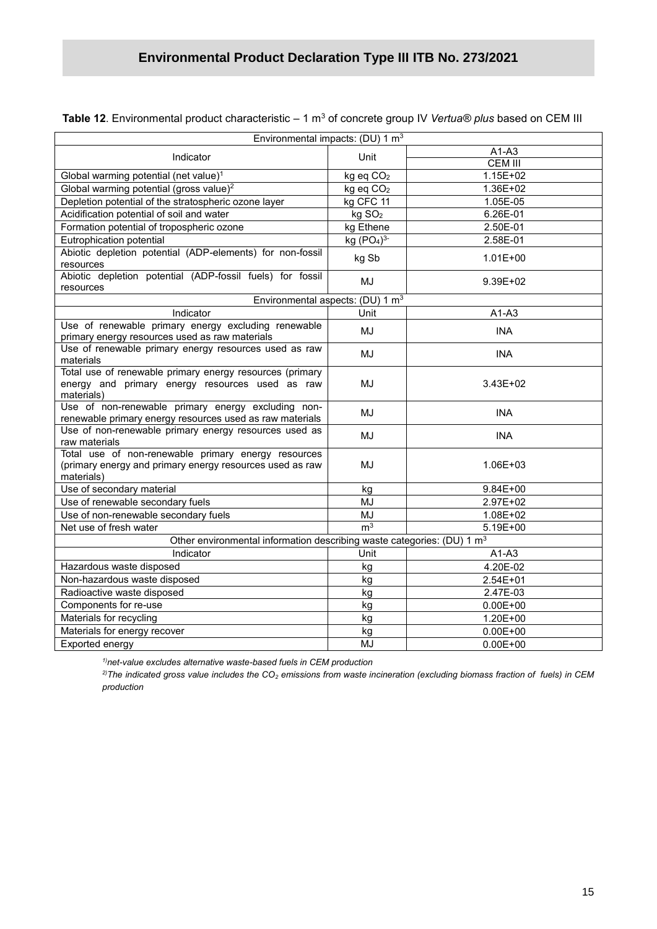| Environmental impacts: (DU) $1 \text{ m}^3$                                                                                   |                       |                |
|-------------------------------------------------------------------------------------------------------------------------------|-----------------------|----------------|
| Indicator                                                                                                                     | Unit                  | $A1-A3$        |
|                                                                                                                               |                       | <b>CEM III</b> |
| Global warming potential (net value) <sup>1</sup>                                                                             | kg eq CO <sub>2</sub> | $1.15E + 02$   |
| Global warming potential (gross value) <sup>2</sup>                                                                           | kg eq CO <sub>2</sub> | 1.36E+02       |
| Depletion potential of the stratospheric ozone layer                                                                          | kg CFC 11             | 1.05E-05       |
| Acidification potential of soil and water                                                                                     | kg SO <sub>2</sub>    | 6.26E-01       |
| Formation potential of tropospheric ozone                                                                                     | kg Ethene             | 2.50E-01       |
| Eutrophication potential                                                                                                      | kg $(PO4)3$           | 2.58E-01       |
| Abiotic depletion potential (ADP-elements) for non-fossil<br>resources                                                        | kg Sb                 | $1.01E + 00$   |
| Abiotic depletion potential (ADP-fossil fuels) for fossil<br>resources                                                        | MJ                    | 9.39E+02       |
| Environmental aspects: (DU) 1 m <sup>3</sup>                                                                                  |                       |                |
| Indicator                                                                                                                     | Unit                  | $A1-A3$        |
| Use of renewable primary energy excluding renewable<br>primary energy resources used as raw materials                         | MJ                    | <b>INA</b>     |
| Use of renewable primary energy resources used as raw<br>materials                                                            | MJ                    | <b>INA</b>     |
| Total use of renewable primary energy resources (primary<br>energy and primary energy resources used as raw<br>materials)     | MJ                    | 3.43E+02       |
| Use of non-renewable primary energy excluding non-<br>renewable primary energy resources used as raw materials                | MJ                    | <b>INA</b>     |
| Use of non-renewable primary energy resources used as<br>raw materials                                                        | MJ                    | <b>INA</b>     |
| Total use of non-renewable primary energy resources<br>(primary energy and primary energy resources used as raw<br>materials) | MJ                    | 1.06E+03       |
| Use of secondary material                                                                                                     | kg                    | 9.84E+00       |
| Use of renewable secondary fuels                                                                                              | MJ                    | 2.97E+02       |
| Use of non-renewable secondary fuels                                                                                          | MJ                    | 1.08E+02       |
| Net use of fresh water                                                                                                        | m <sup>3</sup>        | 5.19E+00       |
| Other environmental information describing waste categories: (DU) 1 m <sup>3</sup>                                            |                       |                |
| Indicator                                                                                                                     | Unit                  | $A1-A3$        |
| Hazardous waste disposed                                                                                                      | kg                    | 4.20E-02       |
| Non-hazardous waste disposed                                                                                                  | kg                    | 2.54E+01       |
| Radioactive waste disposed                                                                                                    | kg                    | 2.47E-03       |
| Components for re-use                                                                                                         | kg                    | $0.00E + 00$   |
| Materials for recycling                                                                                                       | kg                    | 1.20E+00       |

**Table 12**. Environmental product characteristic – 1 m<sup>3</sup> of concrete group IV *Vertua® plus* based on CEM III

*1)net-value excludes alternative waste-based fuels in CEM production*

Materials for energy recover example and the state of the state of the Materials for energy recover Exported energy and the set of the MJ and MJ and MJ and MJ and O.00E+00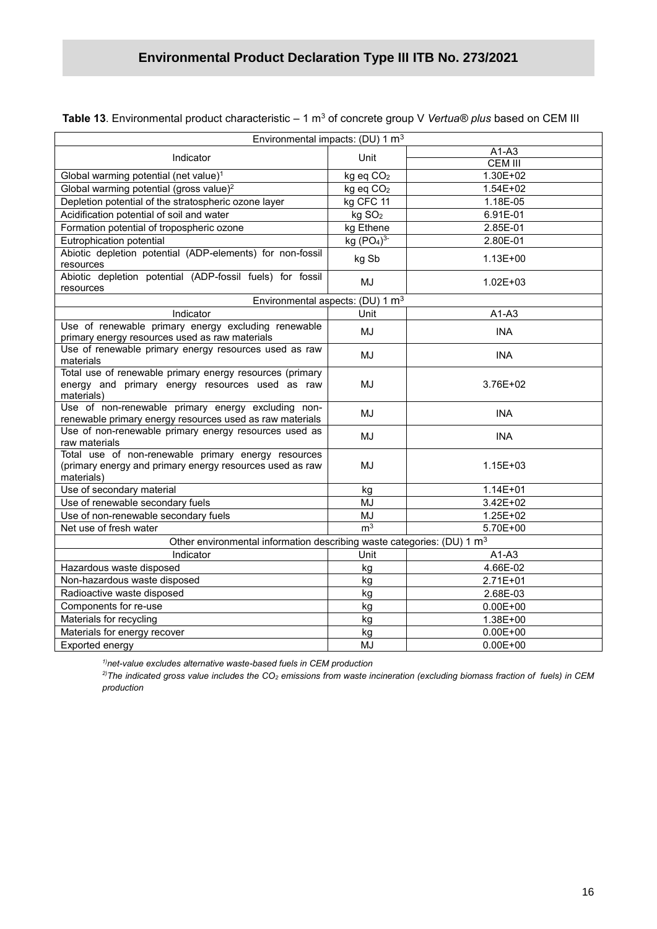| Environmental impacts: (DU) 1 $m3$                                                                                            |                                    |                |  |
|-------------------------------------------------------------------------------------------------------------------------------|------------------------------------|----------------|--|
| Indicator                                                                                                                     | Unit                               | $A1-A3$        |  |
|                                                                                                                               |                                    | <b>CEM III</b> |  |
| Global warming potential (net value) <sup>1</sup>                                                                             | kg eq CO <sub>2</sub>              | $1.30E + 02$   |  |
| Global warming potential (gross value) <sup>2</sup>                                                                           | kg eq CO <sub>2</sub>              | $1.54E + 02$   |  |
| Depletion potential of the stratospheric ozone layer                                                                          | kg CFC 11                          | 1.18E-05       |  |
| Acidification potential of soil and water                                                                                     | kg SO <sub>2</sub>                 | 6.91E-01       |  |
| Formation potential of tropospheric ozone                                                                                     | kg Ethene                          | 2.85E-01       |  |
| Eutrophication potential                                                                                                      | kg (PO <sub>4</sub> ) <sup>3</sup> | 2.80E-01       |  |
| Abiotic depletion potential (ADP-elements) for non-fossil<br>resources                                                        | kg Sb                              | $1.13E + 00$   |  |
| Abiotic depletion potential (ADP-fossil fuels) for fossil<br>resources                                                        | <b>MJ</b>                          | $1.02E + 03$   |  |
| Environmental aspects: (DU) 1 m <sup>3</sup>                                                                                  |                                    |                |  |
| Indicator                                                                                                                     | Unit                               | $A1-A3$        |  |
| Use of renewable primary energy excluding renewable<br>primary energy resources used as raw materials                         | <b>MJ</b>                          | <b>INA</b>     |  |
| Use of renewable primary energy resources used as raw<br>materials                                                            | MJ                                 | <b>INA</b>     |  |
| Total use of renewable primary energy resources (primary<br>energy and primary energy resources used as raw<br>materials)     | MJ                                 | 3.76E+02       |  |
| Use of non-renewable primary energy excluding non-<br>renewable primary energy resources used as raw materials                | <b>MJ</b>                          | <b>INA</b>     |  |
| Use of non-renewable primary energy resources used as<br>raw materials                                                        | MJ                                 | <b>INA</b>     |  |
| Total use of non-renewable primary energy resources<br>(primary energy and primary energy resources used as raw<br>materials) | <b>MJ</b>                          | $1.15E + 03$   |  |
| Use of secondary material                                                                                                     | kg                                 | $1.14E + 01$   |  |
| Use of renewable secondary fuels                                                                                              | <b>MJ</b>                          | 3.42E+02       |  |
| Use of non-renewable secondary fuels                                                                                          | <b>MJ</b>                          | $1.25E + 02$   |  |
| Net use of fresh water                                                                                                        | m <sup>3</sup>                     | 5.70E+00       |  |
| Other environmental information describing waste categories: (DU) 1 m <sup>3</sup>                                            |                                    |                |  |
| Indicator                                                                                                                     | Unit                               | $A1-A3$        |  |
| Hazardous waste disposed                                                                                                      | kg                                 | 4.66E-02       |  |
| Non-hazardous waste disposed                                                                                                  | kg                                 | 2.71E+01       |  |
| Radioactive waste disposed                                                                                                    | kg                                 | 2.68E-03       |  |
| Components for re-use                                                                                                         | kg                                 | $0.00E + 00$   |  |
| Materials for recycling                                                                                                       | kg                                 | 1.38E+00       |  |
| Materials for energy recover                                                                                                  | kg                                 | $0.00E + 00$   |  |
| Exported energy                                                                                                               | MJ                                 | $0.00E + 00$   |  |

**Table 13**. Environmental product characteristic – 1 m<sup>3</sup> of concrete group V *Vertua® plus* based on CEM III

*1)net-value excludes alternative waste-based fuels in CEM production*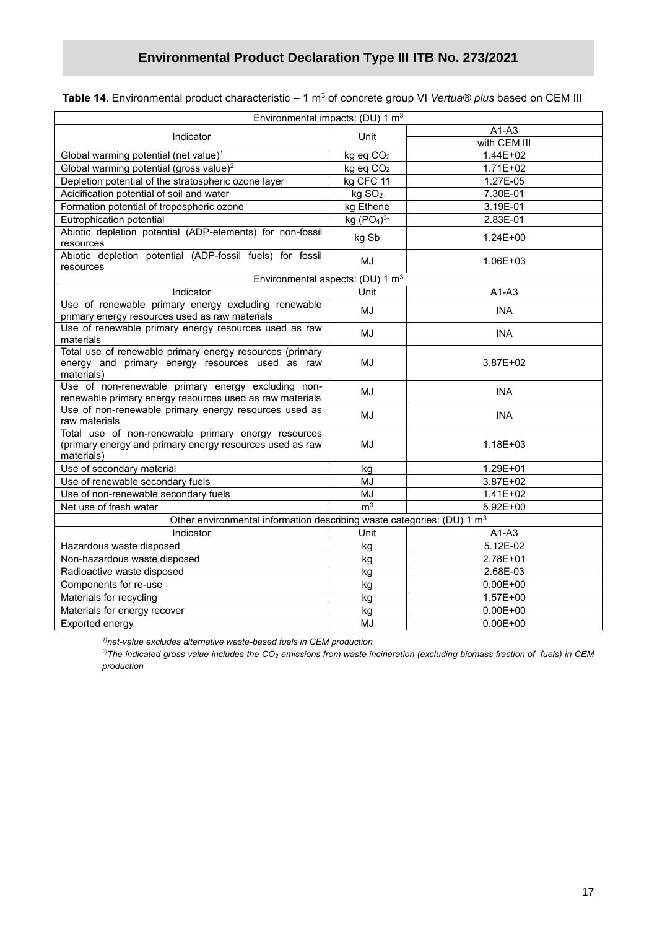|                                                                                                                               | Environmental impacts: (DU) 1 m <sup>3</sup> |              |
|-------------------------------------------------------------------------------------------------------------------------------|----------------------------------------------|--------------|
| Indicator                                                                                                                     | Unit                                         | $A1-A3$      |
|                                                                                                                               |                                              | with CEM III |
| Global warming potential (net value) <sup>1</sup>                                                                             | kg eq CO <sub>2</sub>                        | 1.44E+02     |
| Global warming potential (gross value) <sup>2</sup>                                                                           | kg eq CO <sub>2</sub>                        | $1.71E + 02$ |
| Depletion potential of the stratospheric ozone layer                                                                          | kg CFC 11                                    | 1.27E-05     |
| Acidification potential of soil and water                                                                                     | kg SO <sub>2</sub>                           | 7.30E-01     |
| Formation potential of tropospheric ozone                                                                                     | kg Ethene                                    | 3.19E-01     |
| Eutrophication potential                                                                                                      | kg (PO <sub>4</sub> ) <sup>3</sup>           | 2.83E-01     |
| Abiotic depletion potential (ADP-elements) for non-fossil<br>resources                                                        | kg Sb                                        | $1.24E + 00$ |
| Abiotic depletion potential (ADP-fossil fuels) for fossil<br>resources                                                        | MJ                                           | 1.06E+03     |
|                                                                                                                               | Environmental aspects: (DU) 1 m <sup>3</sup> |              |
| Indicator                                                                                                                     | Unit                                         | $A1-A3$      |
| Use of renewable primary energy excluding renewable<br>primary energy resources used as raw materials                         | MJ                                           | <b>INA</b>   |
| Use of renewable primary energy resources used as raw<br>materials                                                            | MJ                                           | <b>INA</b>   |
| Total use of renewable primary energy resources (primary<br>energy and primary energy resources used as raw<br>materials)     | MJ                                           | 3.87E+02     |
| Use of non-renewable primary energy excluding non-<br>renewable primary energy resources used as raw materials                | MJ                                           | <b>INA</b>   |
| Use of non-renewable primary energy resources used as<br>raw materials                                                        | MJ                                           | <b>INA</b>   |
| Total use of non-renewable primary energy resources<br>(primary energy and primary energy resources used as raw<br>materials) | MJ                                           | 1.18E+03     |
| Use of secondary material                                                                                                     | kg                                           | 1.29E+01     |
| Use of renewable secondary fuels                                                                                              | MJ                                           | 3.87E+02     |
| Use of non-renewable secondary fuels                                                                                          | MJ                                           | $1.41E + 02$ |
| Net use of fresh water                                                                                                        | m <sup>3</sup>                               | $5.92E + 00$ |
| Other environmental information describing waste categories: (DU) 1 m <sup>3</sup>                                            |                                              |              |
| Indicator                                                                                                                     | Unit                                         | $A1-A3$      |
| Hazardous waste disposed                                                                                                      | kg                                           | 5.12E-02     |
| Non-hazardous waste disposed                                                                                                  | kg                                           | 2.78E+01     |
| Radioactive waste disposed                                                                                                    | kg                                           | 2.68E-03     |
| Components for re-use                                                                                                         | kg                                           | $0.00E + 00$ |
| Materials for recycling                                                                                                       | kg                                           | $1.57E + 00$ |
| Materials for energy recover                                                                                                  | kg                                           | $0.00E + 00$ |
| Exported energy                                                                                                               | MJ                                           | $0.00E + 00$ |

*1)net-value excludes alternative waste-based fuels in CEM production*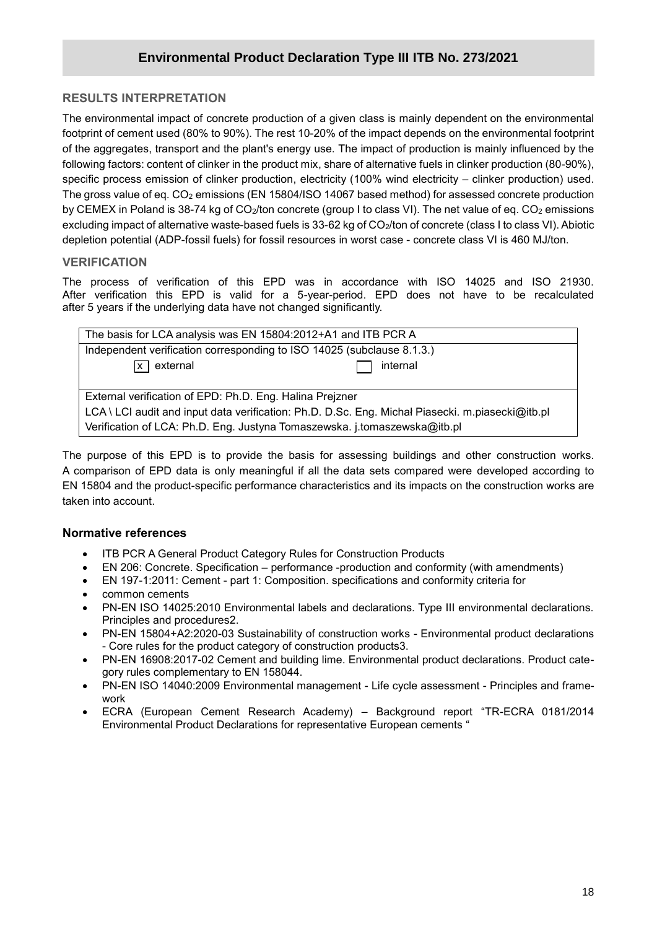### **RESULTS INTERPRETATION**

**/2020** footprint of cement used (80% to 90%). The rest 10-20% of the impact depends on the environmental footprint The environmental impact of concrete production of a given class is mainly dependent on the environmental of the aggregates, transport and the plant's energy use. The impact of production is mainly influenced by the following factors: content of clinker in the product mix, share of alternative fuels in clinker production (80-90%), specific process emission of clinker production, electricity (100% wind electricity – clinker production) used. The gross value of eq. CO<sub>2</sub> emissions (EN 15804/ISO 14067 based method) for assessed concrete production by CEMEX in Poland is 38-74 kg of CO<sub>2</sub>/ton concrete (group I to class VI). The net value of eq. CO<sub>2</sub> emissions excluding impact of alternative waste-based fuels is 33-62 kg of CO<sub>2</sub>/ton of concrete (class I to class VI). Abiotic depletion potential (ADP-fossil fuels) for fossil resources in worst case - concrete class VI is 460 MJ/ton.

#### **VERIFICATION**

The process of verification of this EPD was in accordance with ISO 14025 and ISO 21930. After verification this EPD is valid for a 5-year-period. EPD does not have to be recalculated after 5 years if the underlying data have not changed significantly.

| The basis for LCA analysis was EN 15804:2012+A1 and ITB PCR A                                    |  |  |
|--------------------------------------------------------------------------------------------------|--|--|
| Independent verification corresponding to ISO 14025 (subclause 8.1.3.)                           |  |  |
| $\overline{x}$ external<br>internal                                                              |  |  |
|                                                                                                  |  |  |
| External verification of EPD: Ph.D. Eng. Halina Prejzner                                         |  |  |
| LCA \ LCI audit and input data verification: Ph.D. D.Sc. Eng. Michał Piasecki. m.piasecki@itb.pl |  |  |
| Verification of LCA: Ph.D. Eng. Justyna Tomaszewska. j.tomaszewska@itb.pl                        |  |  |

The purpose of this EPD is to provide the basis for assessing buildings and other construction works. A comparison of EPD data is only meaningful if all the data sets compared were developed according to EN 15804 and the product-specific performance characteristics and its impacts on the construction works are taken into account.

#### **Normative references**

- ITB PCR A General Product Category Rules for Construction Products
- EN 206: Concrete. Specification performance -production and conformity (with amendments)
- EN 197-1:2011: Cement part 1: Composition. specifications and conformity criteria for
- common cements
- PN-EN ISO 14025:2010 Environmental labels and declarations. Type III environmental declarations. Principles and procedures2.
- PN-EN 15804+A2:2020-03 Sustainability of construction works Environmental product declarations - Core rules for the product category of construction products3.
- PN-EN 16908:2017-02 Cement and building lime. Environmental product declarations. Product category rules complementary to EN 158044.
- PN-EN ISO 14040:2009 Environmental management Life cycle assessment Principles and framework
- ECRA (European Cement Research Academy) Background report "TR-ECRA 0181/2014 Environmental Product Declarations for representative European cements "